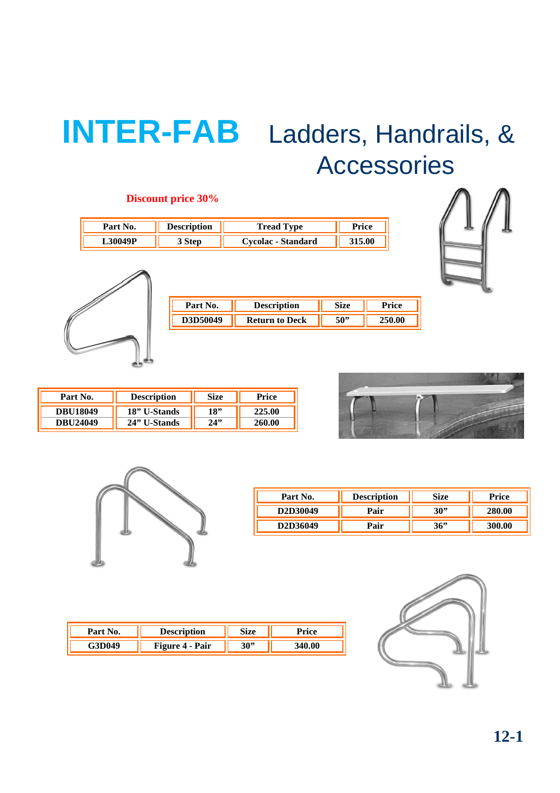# **INTER-FAB** Ladders, Handrails, & Accessories

## **Discount price 30%**

| Part    | otion | Tread<br><b>vpe</b>       | ۱C۴ |
|---------|-------|---------------------------|-----|
| .30049P |       | <b>Cycolac - Standard</b> | 00  |





| <b>Description</b>    | <b>Size</b> | `~ice |
|-----------------------|-------------|-------|
| <b>Return to Deck</b> | 50"         |       |
|                       |             |       |

| Part No.        | <b>Description</b> | Size | Price  |
|-----------------|--------------------|------|--------|
| <b>DBU18049</b> | 18" U-Stands       | 18"  | 25.00  |
| DBU24049        | 24" U-Stands       | 24"  | 260.00 |





| Part No. | <b>Description</b> | Size | Price  |
|----------|--------------------|------|--------|
| D2D30049 | Pair               | 30"  | 280.00 |
| D2D36049 | Pair               | 36"  | 300.00 |

| .10N |    |  |
|------|----|--|
| Pair | эu |  |

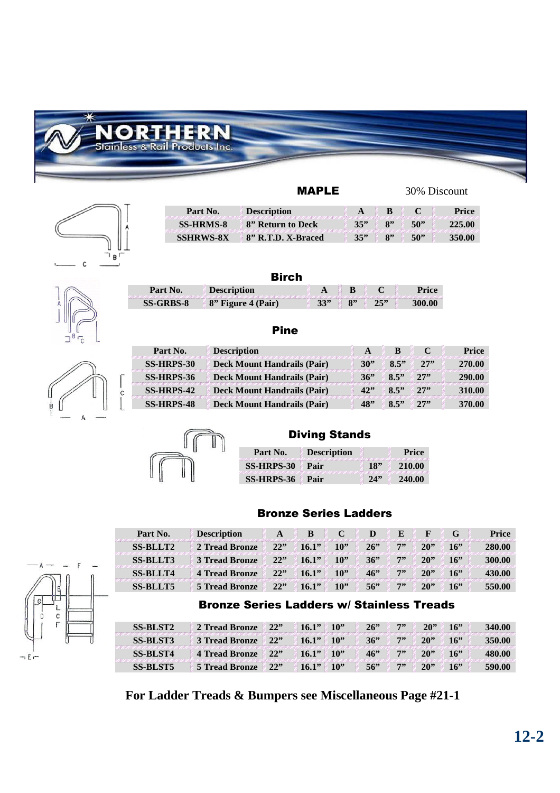



| Part No.         | <b>Description</b> |     |                       |     | Price  |
|------------------|--------------------|-----|-----------------------|-----|--------|
| <b>SS-HRMS-8</b> | 8" Return to Deck  | 35" |                       | 50" |        |
| <b>SSHRWS-8X</b> | 8" R.T.D. X-Braced | 35" | $\mathbf{R}^{\prime}$ | 50" | 350.00 |



|   |  | œ<br>С |
|---|--|--------|
| U |  |        |

| Birch            |                    |     |  |     |        |  |  |
|------------------|--------------------|-----|--|-----|--------|--|--|
| Part No.         | <b>Description</b> |     |  |     | Price  |  |  |
| <b>SS-GRBS-8</b> | 8" Figure 4 (Pair) | 33" |  | 252 | 300.00 |  |  |

#### Pine

| Part No.          | <b>Description</b>                 | A   | B    |     | <b>Price</b> |
|-------------------|------------------------------------|-----|------|-----|--------------|
| <b>SS-HRPS-30</b> | <b>Deck Mount Handrails (Pair)</b> | 30" | 8.5" | 27" | 270.00       |
| SS-HRPS-36        | <b>Deck Mount Handrails (Pair)</b> | 36" | 8.5" | 27  | 290.00       |
| SS-HRPS-42        | <b>Deck Mount Handrails (Pair)</b> | 42" | 8.5" | 27" | 310.00       |
| <b>SS-HRPS-48</b> | <b>Deck Mount Handrails (Pair)</b> | 48" | 8.5" | 27  | 370.00       |



#### Diving Stands

| Part No.        | <b>Description</b> |     | Price  |
|-----------------|--------------------|-----|--------|
| SS-HRPS-30 Pair |                    |     | 210.00 |
| SS-HRPS-36      | - Pair             | 74" | 240.00 |

#### Bronze Series Ladders

| Part No.        | <b>Description</b>    |     |       |     |     |    |        |     | <b>Price</b> |
|-----------------|-----------------------|-----|-------|-----|-----|----|--------|-----|--------------|
| <b>SS-BLLT2</b> | 2 Tread Bronze        | 22" | 16.1" | 10" | 26  | 7" | 20     | 16" | 280.00       |
| <b>SS-BLLT3</b> | <b>3 Tread Bronze</b> | 22" | 16.1" | 10" | 36" | 7" | 20     | 16" | 300.00       |
| <b>SS-BLLT4</b> | <b>4 Tread Bronze</b> | 22" | 16.1" | 10" | 46  | 7" | 20     | 16" | 430.00       |
| <b>SS-BLLT5</b> | 5 Tread Bronze        | 22" | 16.1" | 10" | 56" | 7" | $20$ " | 16" | 550.00       |

### Bronze Series Ladders w/ Stainless Treads

| <b>SS-BLST2</b> | 2 Tread Bronze 22"    |             | 16.1"       | $\ell$ 10" | 26  | 7" | 20     | 16  | 340.00 |
|-----------------|-----------------------|-------------|-------------|------------|-----|----|--------|-----|--------|
| <b>SS-BLST3</b> | 3 Tread Bronze        | $\angle 22$ | $16.1"$ 10" |            | 36" | 7" | 20     | 16" | 350.00 |
| <b>SS-BLST4</b> | 4 Tread Bronze        | 22"         | 16.1" 10"   |            | 46  | 7" | 20     | 16" | 480.00 |
| <b>SS-BLST5</b> | <b>5 Tread Bronze</b> | 22          | $16.1"$ 10" |            | 56  | 7  | $20$ " | 16" | 590.00 |

**For Ladder Treads & Bumpers see Miscellaneous Page #21-1**